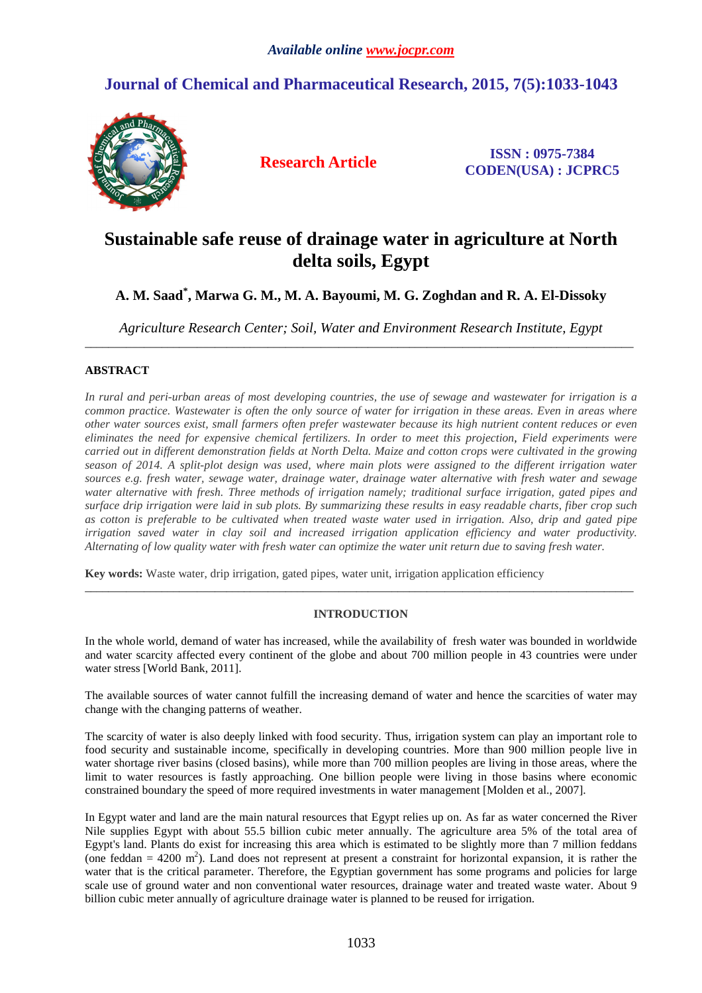## **Journal of Chemical and Pharmaceutical Research, 2015, 7(5):1033-1043**



**Research Article ISSN : 0975-7384 CODEN(USA) : JCPRC5**

# **Sustainable safe reuse of drainage water in agriculture at North delta soils, Egypt**

## **A. M. Saad\* , Marwa G. M., M. A. Bayoumi, M. G. Zoghdan and R. A. El-Dissoky**

*Agriculture Research Center; Soil, Water and Environment Research Institute, Egypt*   $\overline{a}$  , and the contribution of the contribution of the contribution of the contribution of the contribution of the contribution of the contribution of the contribution of the contribution of the contribution of the co

## **ABSTRACT**

*In rural and peri-urban areas of most developing countries, the use of sewage and wastewater for irrigation is a common practice. Wastewater is often the only source of water for irrigation in these areas. Even in areas where other water sources exist, small farmers often prefer wastewater because its high nutrient content reduces or even eliminates the need for expensive chemical fertilizers. In order to meet this projection, Field experiments were carried out in different demonstration fields at North Delta. Maize and cotton crops were cultivated in the growing season of 2014. A split-plot design was used, where main plots were assigned to the different irrigation water sources e.g. fresh water, sewage water, drainage water, drainage water alternative with fresh water and sewage water alternative with fresh. Three methods of irrigation namely; traditional surface irrigation, gated pipes and surface drip irrigation were laid in sub plots. By summarizing these results in easy readable charts, fiber crop such as cotton is preferable to be cultivated when treated waste water used in irrigation. Also, drip and gated pipe irrigation saved water in clay soil and increased irrigation application efficiency and water productivity. Alternating of low quality water with fresh water can optimize the water unit return due to saving fresh water.* 

**Key words:** Waste water, drip irrigation, gated pipes, water unit, irrigation application efficiency

## **INTRODUCTION**

\_\_\_\_\_\_\_\_\_\_\_\_\_\_\_\_\_\_\_\_\_\_\_\_\_\_\_\_\_\_\_\_\_\_\_\_\_\_\_\_\_\_\_\_\_\_\_\_\_\_\_\_\_\_\_\_\_\_\_\_\_\_\_\_\_\_\_\_\_\_\_\_\_\_\_\_\_\_\_\_\_\_\_\_\_\_\_\_\_\_\_\_\_

In the whole world, demand of water has increased, while the availability of fresh water was bounded in worldwide and water scarcity affected every continent of the globe and about 700 million people in 43 countries were under water stress [World Bank, 2011].

The available sources of water cannot fulfill the increasing demand of water and hence the scarcities of water may change with the changing patterns of weather.

The scarcity of water is also deeply linked with food security. Thus, irrigation system can play an important role to food security and sustainable income, specifically in developing countries. More than 900 million people live in water shortage river basins (closed basins), while more than 700 million peoples are living in those areas, where the limit to water resources is fastly approaching. One billion people were living in those basins where economic constrained boundary the speed of more required investments in water management [Molden et al., 2007].

In Egypt water and land are the main natural resources that Egypt relies up on. As far as water concerned the River Nile supplies Egypt with about 55.5 billion cubic meter annually. The agriculture area 5% of the total area of Egypt's land. Plants do exist for increasing this area which is estimated to be slightly more than 7 million feddans (one feddan =  $4200 \text{ m}^2$ ). Land does not represent at present a constraint for horizontal expansion, it is rather the water that is the critical parameter. Therefore, the Egyptian government has some programs and policies for large scale use of ground water and non conventional water resources, drainage water and treated waste water. About 9 billion cubic meter annually of agriculture drainage water is planned to be reused for irrigation.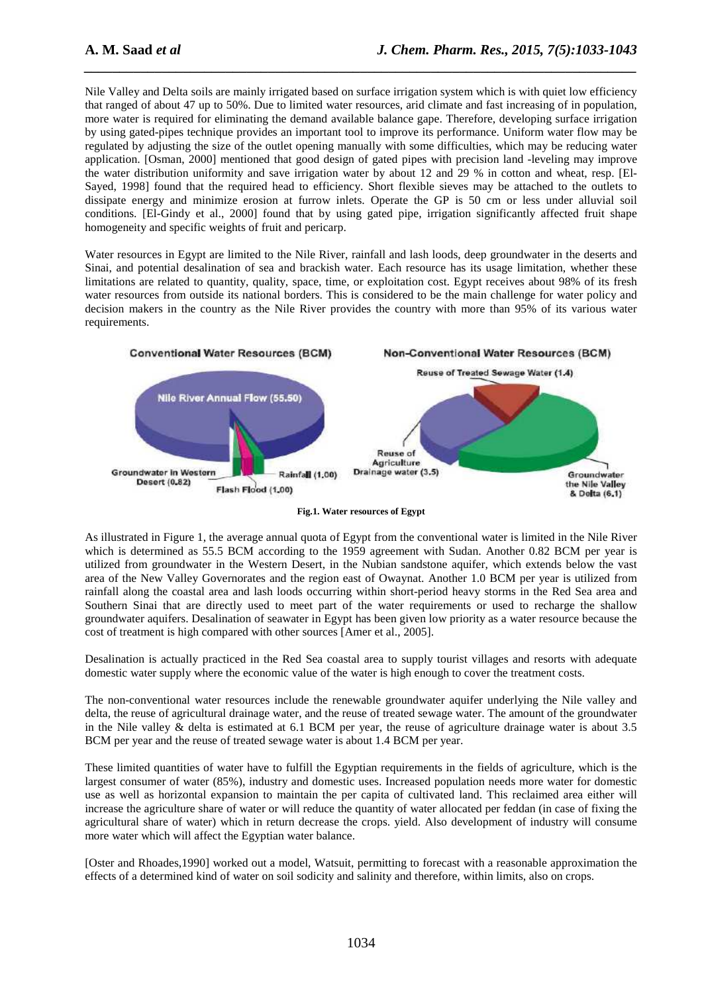Nile Valley and Delta soils are mainly irrigated based on surface irrigation system which is with quiet low efficiency that ranged of about 47 up to 50%. Due to limited water resources, arid climate and fast increasing of in population, more water is required for eliminating the demand available balance gape. Therefore, developing surface irrigation by using gated-pipes technique provides an important tool to improve its performance. Uniform water flow may be regulated by adjusting the size of the outlet opening manually with some difficulties, which may be reducing water application. [Osman, 2000] mentioned that good design of gated pipes with precision land -leveling may improve the water distribution uniformity and save irrigation water by about 12 and 29 % in cotton and wheat, resp. [El-Sayed, 1998] found that the required head to efficiency. Short flexible sieves may be attached to the outlets to dissipate energy and minimize erosion at furrow inlets. Operate the GP is 50 cm or less under alluvial soil conditions. [El-Gindy et al., 2000] found that by using gated pipe, irrigation significantly affected fruit shape homogeneity and specific weights of fruit and pericarp.

*\_\_\_\_\_\_\_\_\_\_\_\_\_\_\_\_\_\_\_\_\_\_\_\_\_\_\_\_\_\_\_\_\_\_\_\_\_\_\_\_\_\_\_\_\_\_\_\_\_\_\_\_\_\_\_\_\_\_\_\_\_\_\_\_\_\_\_\_\_\_\_\_\_\_\_\_\_\_*

Water resources in Egypt are limited to the Nile River, rainfall and lash loods, deep groundwater in the deserts and Sinai, and potential desalination of sea and brackish water. Each resource has its usage limitation, whether these limitations are related to quantity, quality, space, time, or exploitation cost. Egypt receives about 98% of its fresh water resources from outside its national borders. This is considered to be the main challenge for water policy and decision makers in the country as the Nile River provides the country with more than 95% of its various water requirements.



**Fig.1. Water resources of Egypt** 

As illustrated in Figure 1, the average annual quota of Egypt from the conventional water is limited in the Nile River which is determined as 55.5 BCM according to the 1959 agreement with Sudan. Another 0.82 BCM per year is utilized from groundwater in the Western Desert, in the Nubian sandstone aquifer, which extends below the vast area of the New Valley Governorates and the region east of Owaynat. Another 1.0 BCM per year is utilized from rainfall along the coastal area and lash loods occurring within short-period heavy storms in the Red Sea area and Southern Sinai that are directly used to meet part of the water requirements or used to recharge the shallow groundwater aquifers. Desalination of seawater in Egypt has been given low priority as a water resource because the cost of treatment is high compared with other sources [Amer et al., 2005].

Desalination is actually practiced in the Red Sea coastal area to supply tourist villages and resorts with adequate domestic water supply where the economic value of the water is high enough to cover the treatment costs.

The non-conventional water resources include the renewable groundwater aquifer underlying the Nile valley and delta, the reuse of agricultural drainage water, and the reuse of treated sewage water. The amount of the groundwater in the Nile valley & delta is estimated at 6.1 BCM per year, the reuse of agriculture drainage water is about 3.5 BCM per year and the reuse of treated sewage water is about 1.4 BCM per year.

These limited quantities of water have to fulfill the Egyptian requirements in the fields of agriculture, which is the largest consumer of water (85%), industry and domestic uses. Increased population needs more water for domestic use as well as horizontal expansion to maintain the per capita of cultivated land. This reclaimed area either will increase the agriculture share of water or will reduce the quantity of water allocated per feddan (in case of fixing the agricultural share of water) which in return decrease the crops. yield. Also development of industry will consume more water which will affect the Egyptian water balance.

[Oster and Rhoades,1990] worked out a model, Watsuit, permitting to forecast with a reasonable approximation the effects of a determined kind of water on soil sodicity and salinity and therefore, within limits, also on crops.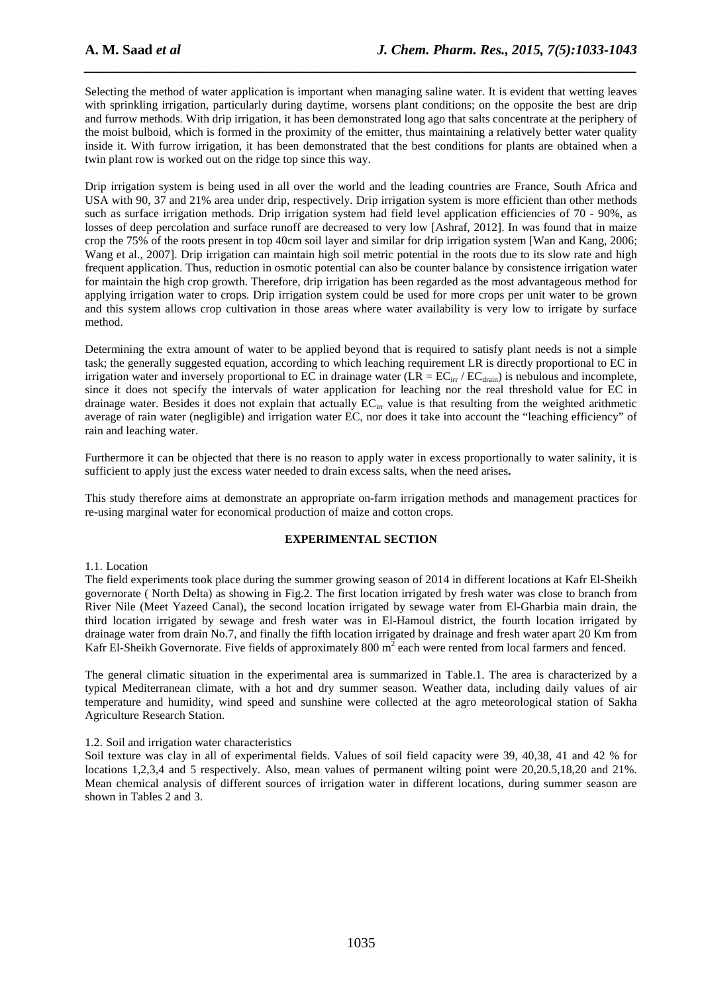Selecting the method of water application is important when managing saline water. It is evident that wetting leaves with sprinkling irrigation, particularly during daytime, worsens plant conditions; on the opposite the best are drip and furrow methods. With drip irrigation, it has been demonstrated long ago that salts concentrate at the periphery of the moist bulboid, which is formed in the proximity of the emitter, thus maintaining a relatively better water quality inside it. With furrow irrigation, it has been demonstrated that the best conditions for plants are obtained when a twin plant row is worked out on the ridge top since this way.

*\_\_\_\_\_\_\_\_\_\_\_\_\_\_\_\_\_\_\_\_\_\_\_\_\_\_\_\_\_\_\_\_\_\_\_\_\_\_\_\_\_\_\_\_\_\_\_\_\_\_\_\_\_\_\_\_\_\_\_\_\_\_\_\_\_\_\_\_\_\_\_\_\_\_\_\_\_\_*

Drip irrigation system is being used in all over the world and the leading countries are France, South Africa and USA with 90, 37 and 21% area under drip, respectively. Drip irrigation system is more efficient than other methods such as surface irrigation methods. Drip irrigation system had field level application efficiencies of 70 - 90%, as losses of deep percolation and surface runoff are decreased to very low [Ashraf, 2012]. In was found that in maize crop the 75% of the roots present in top 40cm soil layer and similar for drip irrigation system [Wan and Kang, 2006; Wang et al., 2007]. Drip irrigation can maintain high soil metric potential in the roots due to its slow rate and high frequent application. Thus, reduction in osmotic potential can also be counter balance by consistence irrigation water for maintain the high crop growth. Therefore, drip irrigation has been regarded as the most advantageous method for applying irrigation water to crops. Drip irrigation system could be used for more crops per unit water to be grown and this system allows crop cultivation in those areas where water availability is very low to irrigate by surface method.

Determining the extra amount of water to be applied beyond that is required to satisfy plant needs is not a simple task; the generally suggested equation, according to which leaching requirement LR is directly proportional to EC in irrigation water and inversely proportional to EC in drainage water  $(LR = EC<sub>irr</sub>/EC<sub>drain</sub>)$  is nebulous and incomplete, since it does not specify the intervals of water application for leaching nor the real threshold value for EC in drainage water. Besides it does not explain that actually  $EC_{irr}$  value is that resulting from the weighted arithmetic average of rain water (negligible) and irrigation water EC, nor does it take into account the "leaching efficiency" of rain and leaching water.

Furthermore it can be objected that there is no reason to apply water in excess proportionally to water salinity, it is sufficient to apply just the excess water needed to drain excess salts, when the need arises**.** 

This study therefore aims at demonstrate an appropriate on-farm irrigation methods and management practices for re-using marginal water for economical production of maize and cotton crops.

## **EXPERIMENTAL SECTION**

#### 1.1. Location

The field experiments took place during the summer growing season of 2014 in different locations at Kafr El-Sheikh governorate ( North Delta) as showing in Fig.2. The first location irrigated by fresh water was close to branch from River Nile (Meet Yazeed Canal), the second location irrigated by sewage water from El-Gharbia main drain, the third location irrigated by sewage and fresh water was in El-Hamoul district, the fourth location irrigated by drainage water from drain No.7, and finally the fifth location irrigated by drainage and fresh water apart 20 Km from Kafr El-Sheikh Governorate. Five fields of approximately 800  $m^2$  each were rented from local farmers and fenced.

The general climatic situation in the experimental area is summarized in Table.1. The area is characterized by a typical Mediterranean climate, with a hot and dry summer season. Weather data, including daily values of air temperature and humidity, wind speed and sunshine were collected at the agro meteorological station of Sakha Agriculture Research Station.

## 1.2. Soil and irrigation water characteristics

Soil texture was clay in all of experimental fields. Values of soil field capacity were 39, 40,38, 41 and 42 % for locations 1,2,3,4 and 5 respectively. Also, mean values of permanent wilting point were 20,20.5,18,20 and 21%. Mean chemical analysis of different sources of irrigation water in different locations, during summer season are shown in Tables 2 and 3.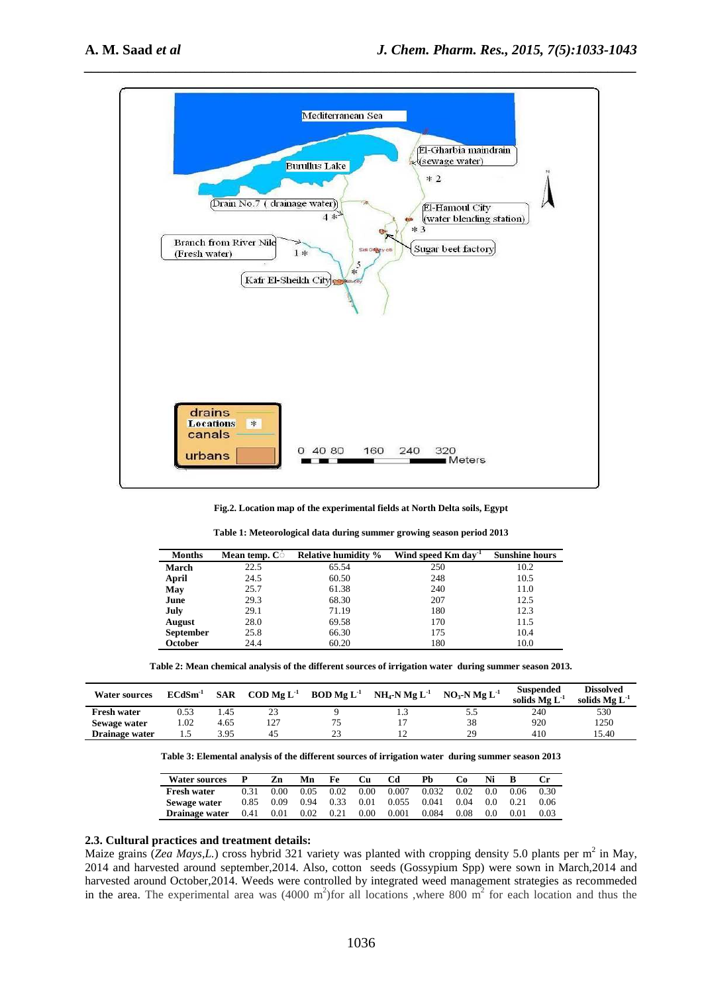

**Fig.2. Location map of the experimental fields at North Delta soils, Egypt** 

| <b>Months</b>    | <b>Mean temp.</b> Co | <b>Relative humidity %</b> | Wind speed Km day <sup>-1</sup> | <b>Sunshine hours</b> |
|------------------|----------------------|----------------------------|---------------------------------|-----------------------|
| <b>March</b>     | 22.5                 | 65.54                      | 250                             | 10.2                  |
| April            | 24.5                 | 60.50                      | 248                             | 10.5                  |
| May              | 25.7                 | 61.38                      | 240                             | 11.0                  |
| June             | 29.3                 | 68.30                      | 207                             | 12.5                  |
| July             | 29.1                 | 71.19                      | 180                             | 12.3                  |
| <b>August</b>    | 28.0                 | 69.58                      | 170                             | 11.5                  |
| <b>September</b> | 25.8                 | 66.30                      | 175                             | 10.4                  |
| October          | 24.4                 | 60.20                      | 180                             | 10.0                  |

**Table 1: Meteorological data during summer growing season period 2013** 

**Table 2: Mean chemical analysis of the different sources of irrigation water during summer season 2013.** 

| <b>Water sources</b> | $ECdSm^{-1}$ | <b>SAR</b> | $\text{COD } \text{Me } L^{-1}$ | $BOD Mg L-1$ | NH <sub>4</sub> -N <sub>Mg</sub> L <sup>-1</sup> | $NO3-N$ Mg $L-1$ | <b>Suspended</b><br>solids $Mg L-1$ | <b>Dissolved</b><br>solids $Mg L^{-1}$ |
|----------------------|--------------|------------|---------------------------------|--------------|--------------------------------------------------|------------------|-------------------------------------|----------------------------------------|
| <b>Fresh water</b>   | 0.53         | . 45       | $\sim$<br>23                    |              |                                                  | 5.5              | 240                                 | 530                                    |
| Sewage water         | 1.02         | 4.65       | 127                             | 75           |                                                  | 38               | 920                                 | 1250                                   |
| Drainage water       | ر د          | 3.95       | 42                              | 23           |                                                  | 29               | 410                                 | 15.40                                  |

**Table 3: Elemental analysis of the different sources of irrigation water during summer season 2013** 

| <b>Water sources</b> |      | Zn   | Mn   | Fe   | Cu   | Cd    | Ph    | Cо   |     |      |      |
|----------------------|------|------|------|------|------|-------|-------|------|-----|------|------|
| <b>Fresh water</b>   | 0.31 | 0.00 | 0.05 | 0.02 | 0.00 | 0.007 | 0.032 | 0.02 | 0.0 | 0.06 | 0.30 |
| Sewage water         | 0.85 | 0.09 | 0.94 | 0.33 | 0.01 | 0.055 | 0.041 | 0.04 | 0.0 | 0.21 |      |
| Drainage water       | 0.41 | 0.01 | 0.02 | 0.21 | 0.00 | 0.001 | 0.084 | 0.08 | 0.0 | 0.01 |      |

#### **2.3. Cultural practices and treatment details:**

Maize grains (*Zea Mays,L.*) cross hybrid 321 variety was planted with cropping density 5.0 plants per m<sup>2</sup> in May, 2014 and harvested around september,2014. Also, cotton seeds (Gossypium Spp) were sown in March,2014 and harvested around October,2014. Weeds were controlled by integrated weed management strategies as recommeded in the area. The experimental area was  $(4000 \text{ m}^2)$  for all locations, where 800 m<sup>2</sup> for each location and thus the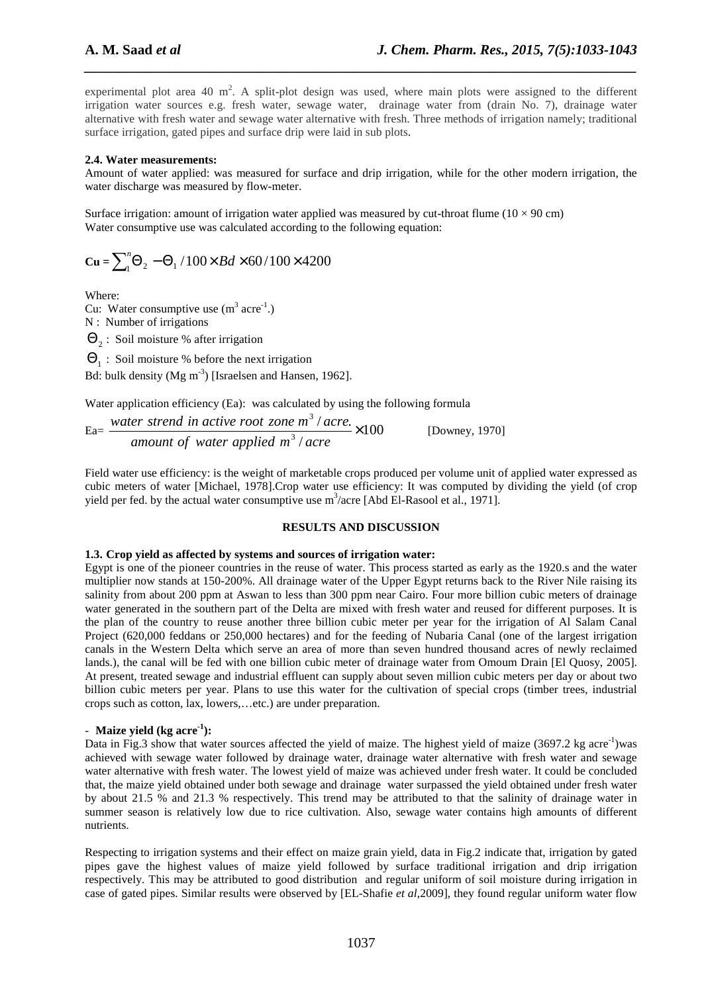experimental plot area 40 m<sup>2</sup>. A split-plot design was used, where main plots were assigned to the different irrigation water sources e.g. fresh water, sewage water, drainage water from (drain No. 7), drainage water alternative with fresh water and sewage water alternative with fresh. Three methods of irrigation namely; traditional surface irrigation, gated pipes and surface drip were laid in sub plots.

*\_\_\_\_\_\_\_\_\_\_\_\_\_\_\_\_\_\_\_\_\_\_\_\_\_\_\_\_\_\_\_\_\_\_\_\_\_\_\_\_\_\_\_\_\_\_\_\_\_\_\_\_\_\_\_\_\_\_\_\_\_\_\_\_\_\_\_\_\_\_\_\_\_\_\_\_\_\_*

## **2.4. Water measurements:**

Amount of water applied: was measured for surface and drip irrigation, while for the other modern irrigation, the water discharge was measured by flow-meter.

Surface irrigation: amount of irrigation water applied was measured by cut-throat flume ( $10 \times 90$  cm) Water consumptive use was calculated according to the following equation:

$$
Cu = \sum_{1}^{n} \Theta_{2} - \Theta_{1} / 100 \times Bd \times 60 / 100 \times 4200
$$

Where:

Cu: Water consumptive use  $(m^3 \text{ acre}^{-1})$ . N : Number of irrigations

 $\Theta_2$ : Soil moisture % after irrigation

 $\Theta_1$ : Soil moisture % before the next irrigation

Bd: bulk density (Mg m<sup>-3</sup>) [Israelsen and Hansen, 1962].

Water application efficiency (Ea): was calculated by using the following formula

 $Ea = \frac{m \pi c r \sin \theta \ln \alpha \arctan \theta \cos \beta \arctan \theta \arctan \alpha \arctan \alpha}{m \pi c \sin \theta \arctan \alpha \arctan \alpha \arctan \alpha \arctan \alpha \arctan \alpha} \times 100$ /  $/$  acre. 3 3 × *dimount of water applied m<sup>3</sup> / acre water strend in active root zone m acre* [Downey, 1970]

Field water use efficiency: is the weight of marketable crops produced per volume unit of applied water expressed as cubic meters of water [Michael, 1978].Crop water use efficiency: It was computed by dividing the yield (of crop yield per fed. by the actual water consumptive use  $m^3$ /acre [Abd El-Rasool et al., 1971].

## **RESULTS AND DISCUSSION**

## **1.3. Crop yield as affected by systems and sources of irrigation water:**

Egypt is one of the pioneer countries in the reuse of water. This process started as early as the 1920.s and the water multiplier now stands at 150-200%. All drainage water of the Upper Egypt returns back to the River Nile raising its salinity from about 200 ppm at Aswan to less than 300 ppm near Cairo. Four more billion cubic meters of drainage water generated in the southern part of the Delta are mixed with fresh water and reused for different purposes. It is the plan of the country to reuse another three billion cubic meter per year for the irrigation of Al Salam Canal Project (620,000 feddans or 250,000 hectares) and for the feeding of Nubaria Canal (one of the largest irrigation canals in the Western Delta which serve an area of more than seven hundred thousand acres of newly reclaimed lands.), the canal will be fed with one billion cubic meter of drainage water from Omoum Drain [El Quosy, 2005]. At present, treated sewage and industrial effluent can supply about seven million cubic meters per day or about two billion cubic meters per year. Plans to use this water for the cultivation of special crops (timber trees, industrial crops such as cotton, lax, lowers,…etc.) are under preparation.

## - **Maize yield** (kg acre<sup>1</sup>):

Data in Fig.3 show that water sources affected the yield of maize. The highest yield of maize (3697.2 kg acre<sup>-1</sup>)was achieved with sewage water followed by drainage water, drainage water alternative with fresh water and sewage water alternative with fresh water. The lowest yield of maize was achieved under fresh water. It could be concluded that, the maize yield obtained under both sewage and drainage water surpassed the yield obtained under fresh water by about 21.5 % and 21.3 % respectively. This trend may be attributed to that the salinity of drainage water in summer season is relatively low due to rice cultivation. Also, sewage water contains high amounts of different nutrients.

Respecting to irrigation systems and their effect on maize grain yield, data in Fig.2 indicate that, irrigation by gated pipes gave the highest values of maize yield followed by surface traditional irrigation and drip irrigation respectively. This may be attributed to good distribution and regular uniform of soil moisture during irrigation in case of gated pipes. Similar results were observed by [EL-Shafie *et al*,2009], they found regular uniform water flow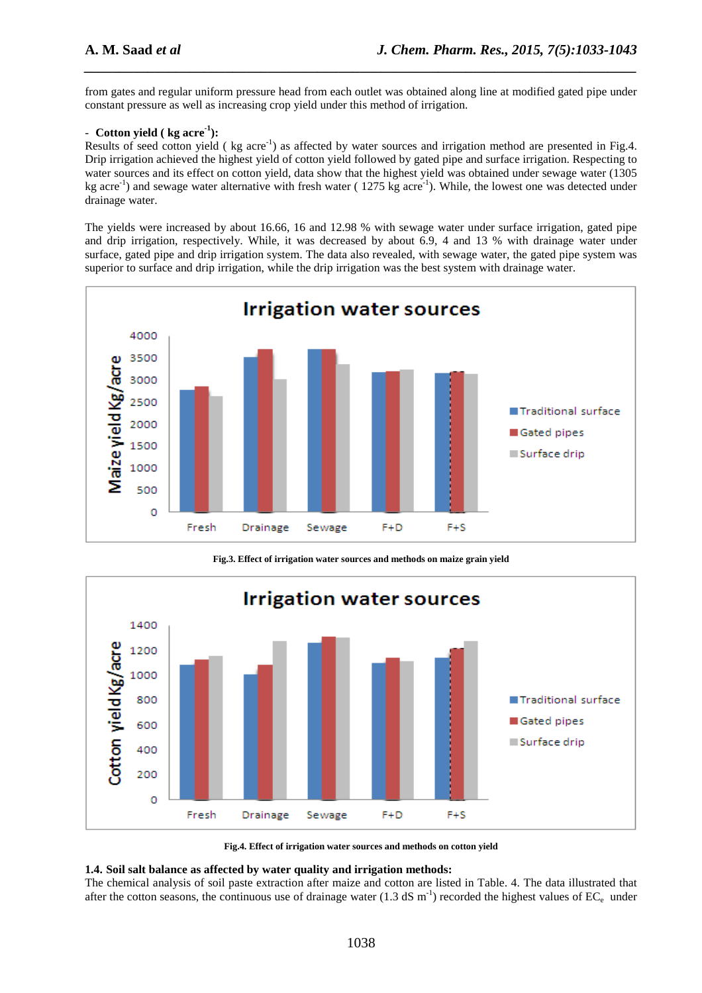from gates and regular uniform pressure head from each outlet was obtained along line at modified gated pipe under constant pressure as well as increasing crop yield under this method of irrigation.

*\_\_\_\_\_\_\_\_\_\_\_\_\_\_\_\_\_\_\_\_\_\_\_\_\_\_\_\_\_\_\_\_\_\_\_\_\_\_\_\_\_\_\_\_\_\_\_\_\_\_\_\_\_\_\_\_\_\_\_\_\_\_\_\_\_\_\_\_\_\_\_\_\_\_\_\_\_\_*

## - **Cotton yield** ( kg acre<sup>-1</sup>):

Results of seed cotton yield ( $kg$  acre<sup>-1</sup>) as affected by water sources and irrigation method are presented in Fig.4. Drip irrigation achieved the highest yield of cotton yield followed by gated pipe and surface irrigation. Respecting to water sources and its effect on cotton yield, data show that the highest yield was obtained under sewage water (1305 kg acre<sup>-1</sup>) and sewage water alternative with fresh water (1275 kg acre<sup>-1</sup>). While, the lowest one was detected under drainage water.

The yields were increased by about 16.66, 16 and 12.98 % with sewage water under surface irrigation, gated pipe and drip irrigation, respectively. While, it was decreased by about 6.9, 4 and 13 % with drainage water under surface, gated pipe and drip irrigation system. The data also revealed, with sewage water, the gated pipe system was superior to surface and drip irrigation, while the drip irrigation was the best system with drainage water.



**Fig.3. Effect of irrigation water sources and methods on maize grain yield** 



**Fig.4. Effect of irrigation water sources and methods on cotton yield** 

#### **1.4. Soil salt balance as affected by water quality and irrigation methods:**

The chemical analysis of soil paste extraction after maize and cotton are listed in Table. 4. The data illustrated that after the cotton seasons, the continuous use of drainage water (1.3 dS m<sup>-1</sup>) recorded the highest values of  $EC_e$  under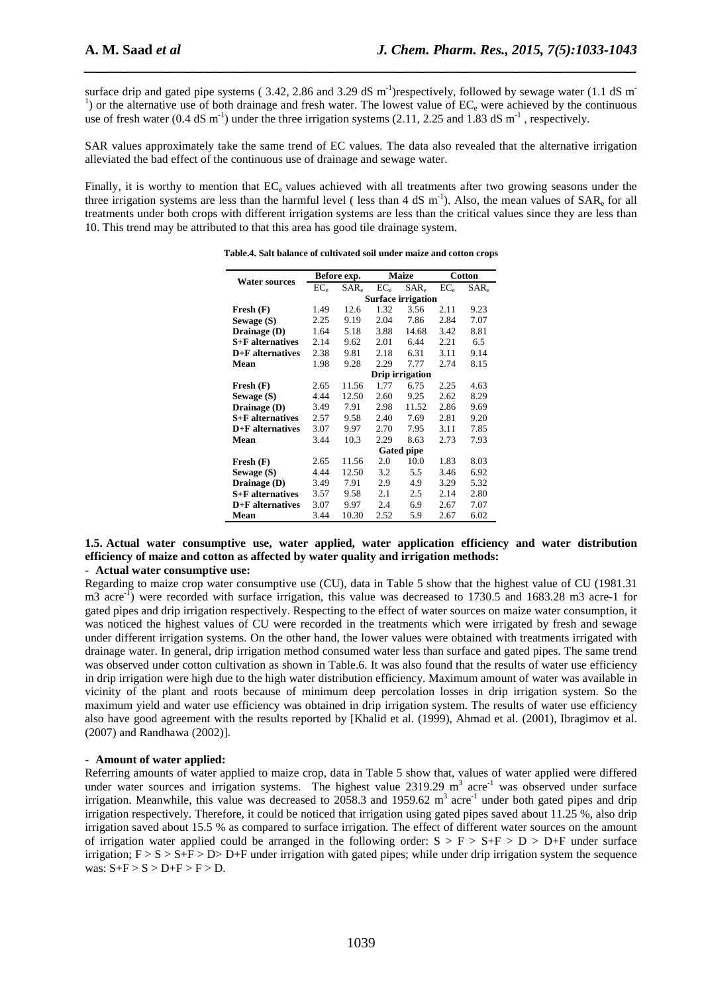surface drip and gated pipe systems ( $3.42$ ,  $2.86$  and  $3.29$  dS m<sup>-1</sup>)respectively, followed by sewage water (1.1 dS m<sup>-1</sup>)  $<sup>1</sup>$ ) or the alternative use of both drainage and fresh water. The lowest value of EC<sub>e</sub> were achieved by the continuous</sup> use of fresh water (0.4 dS m<sup>-1</sup>) under the three irrigation systems (2.11, 2.25 and 1.83 dS m<sup>-1</sup>, respectively.

*\_\_\_\_\_\_\_\_\_\_\_\_\_\_\_\_\_\_\_\_\_\_\_\_\_\_\_\_\_\_\_\_\_\_\_\_\_\_\_\_\_\_\_\_\_\_\_\_\_\_\_\_\_\_\_\_\_\_\_\_\_\_\_\_\_\_\_\_\_\_\_\_\_\_\_\_\_\_*

SAR values approximately take the same trend of EC values. The data also revealed that the alternative irrigation alleviated the bad effect of the continuous use of drainage and sewage water.

Finally, it is worthy to mention that  $EC_e$  values achieved with all treatments after two growing seasons under the three irrigation systems are less than the harmful level (less than 4 dS  $m^{-1}$ ). Also, the mean values of  $SAR_e$  for all treatments under both crops with different irrigation systems are less than the critical values since they are less than 10. This trend may be attributed to that this area has good tile drainage system.

| <b>Water sources</b> |                 | Before exp. |        | <b>Maize</b>              |                 | Cotton    |
|----------------------|-----------------|-------------|--------|---------------------------|-----------------|-----------|
|                      | EC <sub>e</sub> | $SAR_{e}$   | $EC_e$ | $SAR_e$                   | EC <sub>e</sub> | $SAR_{e}$ |
|                      |                 |             |        | <b>Surface irrigation</b> |                 |           |
| Fresh (F)            | 1.49            | 12.6        | 1.32   | 3.56                      | 2.11            | 9.23      |
| Sewage (S)           | 2.25            | 9.19        | 2.04   | 7.86                      | 2.84            | 7.07      |
| Drainage (D)         | 1.64            | 5.18        | 3.88   | 14.68                     | 3.42            | 8.81      |
| S+F alternatives     | 2.14            | 9.62        | 2.01   | 6.44                      | 2.21            | 6.5       |
| $D + F$ alternatives | 2.38            | 9.81        | 2.18   | 6.31                      | 3.11            | 9.14      |
| Mean                 | 1.98            | 9.28        | 2.29   | 7.77                      | 2.74            | 8.15      |
|                      |                 |             |        | Drip irrigation           |                 |           |
| Fresh (F)            | 2.65            | 11.56       | 1.77   | 6.75                      | 2.25            | 4.63      |
| Sewage (S)           | 4.44            | 12.50       | 2.60   | 9.25                      | 2.62            | 8.29      |
| Drainage (D)         | 3.49            | 7.91        | 2.98   | 11.52                     | 2.86            | 9.69      |
| S+F alternatives     | 2.57            | 9.58        | 2.40   | 7.69                      | 2.81            | 9.20      |
| $D + F$ alternatives | 3.07            | 9.97        | 2.70   | 7.95                      | 3.11            | 7.85      |
| Mean                 | 3.44            | 10.3        | 2.29   | 8.63                      | 2.73            | 7.93      |
|                      |                 |             |        | <b>Gated pipe</b>         |                 |           |
| Fresh(F)             | 2.65            | 11.56       | 2.0    | 10.0                      | 1.83            | 8.03      |
| Sewage (S)           | 4.44            | 12.50       | 3.2    | 5.5                       | 3.46            | 6.92      |
| Drainage (D)         | 3.49            | 7.91        | 2.9    | 4.9                       | 3.29            | 5.32      |
| S+F alternatives     | 3.57            | 9.58        | 2.1    | 2.5                       | 2.14            | 2.80      |
| $D + F$ alternatives | 3.07            | 9.97        | 2.4    | 6.9                       | 2.67            | 7.07      |
| Mean                 | 3.44            | 10.30       | 2.52   | 5.9                       | 2.67            | 6.02      |

**Table.4. Salt balance of cultivated soil under maize and cotton crops** 

## **1.5. Actual water consumptive use, water applied, water application efficiency and water distribution efficiency of maize and cotton as affected by water quality and irrigation methods:**

## - **Actual water consumptive use:**

Regarding to maize crop water consumptive use (CU), data in Table 5 show that the highest value of CU (1981.31 m3 acre<sup>-1</sup>) were recorded with surface irrigation, this value was decreased to 1730.5 and 1683.28 m3 acre-1 for gated pipes and drip irrigation respectively. Respecting to the effect of water sources on maize water consumption, it was noticed the highest values of CU were recorded in the treatments which were irrigated by fresh and sewage under different irrigation systems. On the other hand, the lower values were obtained with treatments irrigated with drainage water. In general, drip irrigation method consumed water less than surface and gated pipes. The same trend was observed under cotton cultivation as shown in Table.6. It was also found that the results of water use efficiency in drip irrigation were high due to the high water distribution efficiency. Maximum amount of water was available in vicinity of the plant and roots because of minimum deep percolation losses in drip irrigation system. So the maximum yield and water use efficiency was obtained in drip irrigation system. The results of water use efficiency also have good agreement with the results reported by [Khalid et al. (1999), Ahmad et al. (2001), Ibragimov et al. (2007) and Randhawa (2002)].

#### - **Amount of water applied:**

Referring amounts of water applied to maize crop, data in Table 5 show that, values of water applied were differed under water sources and irrigation systems. The highest value  $2319.29 \text{ m}^3$  acre<sup>-1</sup> was observed under surface irrigation. Meanwhile, this value was decreased to 2058.3 and 1959.62  $m^3$  acre<sup>-1</sup> under both gated pipes and drip irrigation respectively. Therefore, it could be noticed that irrigation using gated pipes saved about 11.25 %, also drip irrigation saved about 15.5 % as compared to surface irrigation. The effect of different water sources on the amount of irrigation water applied could be arranged in the following order:  $S > F > S+F > D > D+F$  under surface irrigation;  $F > S > S+F > D>D+F$  under irrigation with gated pipes; while under drip irrigation system the sequence was:  $S+F > S > D+F > F > D$ .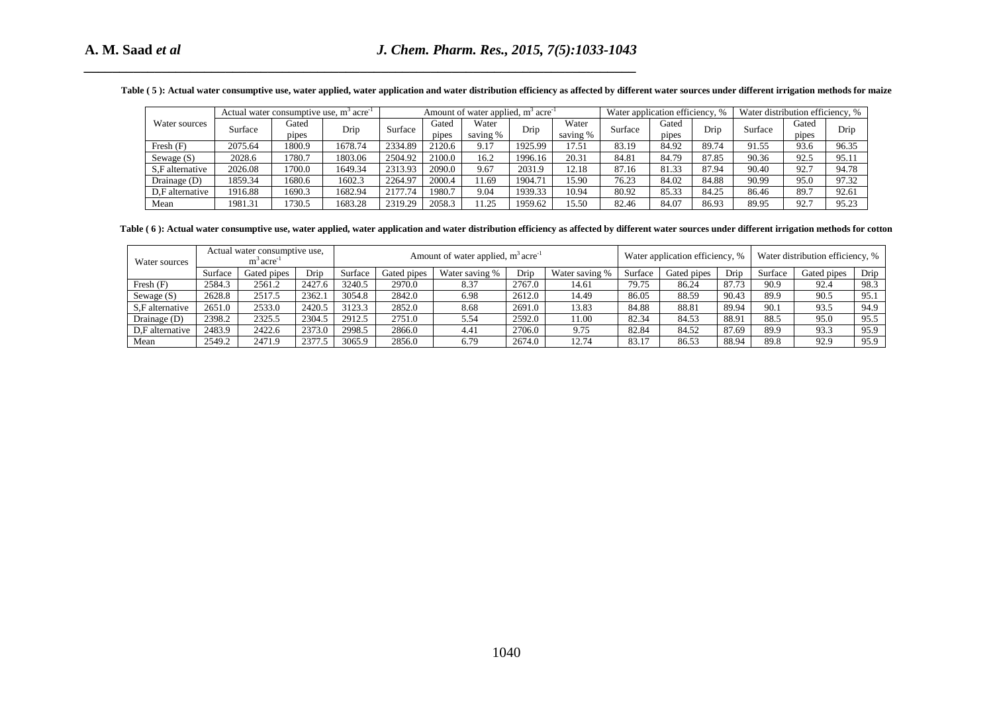|  | 'able (5): Actual water consumptive use, water applied, water application and water distribution efficiency as affected by different water sources under different irrigation methods for maize |
|--|-------------------------------------------------------------------------------------------------------------------------------------------------------------------------------------------------|
|--|-------------------------------------------------------------------------------------------------------------------------------------------------------------------------------------------------|

|                 | Actual water consumptive use, m <sup>3</sup> acre <sup>-1</sup> |                |         |         |                | Amount of water applied, m <sup>3</sup> acre <sup>-1</sup> |         |                   | Water application efficiency, % |                |       | Water distribution efficiency, % |                |       |
|-----------------|-----------------------------------------------------------------|----------------|---------|---------|----------------|------------------------------------------------------------|---------|-------------------|---------------------------------|----------------|-------|----------------------------------|----------------|-------|
| Water sources   | Surface                                                         | Gated<br>pipes | Drip    | Surface | Gated<br>pipes | Water<br>saving %                                          | Drip    | Water<br>saving % | Surface                         | Gated<br>pipes | Drip  | Surface                          | Gated<br>pipes | Drip  |
| Fresh $(F)$     | 2075.64                                                         | 1800.9         | 1678.74 | 2334.89 | 2120.6         | 9.17                                                       | 1925.99 | 17.51             | 83.19                           | 84.92          | 89.74 | 91.55                            | 93.6           | 96.35 |
| Sewage $(S)$    | 2028.6                                                          | 1780.7         | 1803.06 | 2504.92 | 2100.0         | 16.2                                                       | 1996.16 | 20.31             | 84.81                           | 84.79          | 87.85 | 90.36                            | 92.5           | 95.11 |
| S.F alternative | 2026.08                                                         | 1700.0         | 1649.34 | 2313.93 | 2090.0         | 9.67                                                       | 2031.9  | 12.18             | 87.16                           | 81.33          | 87.94 | 90.40                            | 92.7           | 94.78 |
| Drainage (D)    | 1859.34                                                         | 1680.6         | 1602.3  | 2264.97 | 2000.4         | 1.69                                                       | 1904.71 | 15.90             | 76.23                           | 84.02          | 84.88 | 90.99                            | 95.0           | 97.32 |
| D.F alternative | 1916.88                                                         | 1690.3         | 1682.94 | 2177.74 | 1980.7         | 9.04                                                       | 1939.33 | 10.94             | 80.92                           | 85.33          | 84.25 | 86.46                            | 89.7           | 92.61 |
| Mean            | 1981.31                                                         | 730.5          | 1683.28 | 2319.29 | 2058.3         | 1.25                                                       | 1959.62 | 15.50             | 82.46                           | 84.07          | 86.93 | 89.95                            | 92.7           | 95.23 |

| Water<br>Water<br>Water sources<br>Gated<br>Gated<br>Gated<br>Gated<br>Surface<br>Surface<br>Drip<br>Surface<br>Surface<br>Drip<br>Drip<br>Drip<br>saving %<br>pipes<br>saving %<br>pipes<br>pipes<br>pipes<br>2075.64<br>1925.99<br>91.55<br>1800.9<br>1678.74<br>2334.89<br>9.17<br>83.19<br>84.92<br>89.74<br>93.6<br>96.35<br>Fresh $(F)$<br>2120.6<br>17.51<br>Sewage (S)<br>2028.6<br>1803.06<br>2504.92<br>2100.0<br>1996.16<br>20.31<br>84.79<br>87.85<br>90.36<br>92.5<br>95.11<br>1780.7<br>16.2<br>84.81<br>2026.08<br>S,F alternative<br>1700.0<br>1649.34<br>2313.93<br>2090.0<br>9.67<br>2031.9<br>12.18<br>81.33<br>87.94<br>90.40<br>92.7<br>94.78<br>87.16<br>Drainage (D)<br>1602.3<br>2264.97<br>90.99<br>1859.34<br>1680.6<br>2000.4<br>11.69<br>1904.71<br>15.90<br>76.23<br>84.02<br>84.88<br>95.0<br>97.32<br>10.94<br>80.92<br>1916.88<br>1690.3<br>1682.94<br>2177.74<br>9.04<br>1939.33<br>85.33<br>84.25<br>86.46<br>89.7<br>92.61<br>D,F alternative<br>1980.7<br>1981.31<br>2319.29<br>11.25<br>1959.62<br>95.23<br>1730.5<br>1683.28<br>2058.3<br>15.50<br>82.46<br>84.07<br>86.93<br>89.95<br>92.7<br>Mean<br>Table (6): Actual water consumptive use, water applied, water application and water distribution efficiency as affected by different water sources under different irrigation methods for cotton<br>Actual water consumptive use,<br>Amount of water applied, m <sup>3</sup> acre <sup>-1</sup><br>Water application efficiency, %<br>Water distribution efficiency, %<br>$m^3$ acre <sup>-1</sup><br>Surface<br>Gated pipes<br>Drip<br>Surface<br>Gated pipes<br>Water saving %<br>Water saving %<br>Surface<br>Gated pipes<br>Surface<br>Gated pipes<br>Drip<br>Drip<br>2584.3<br>2561.2<br>2427.6<br>2970.0<br>2767.0<br>79.75<br>90.9<br>Fresh $(F)$<br>3240.5<br>8.37<br>14.61<br>86.24<br>87.73<br>92.4<br>98.3<br>2517.5<br>2842.0<br>6.98<br>14.49<br>Sewage $(S)$<br>2628.8<br>2362.1<br>3054.8<br>2612.0<br>86.05<br>88.59<br>90.43<br>89.9<br>90.5<br>95.1<br>S,F alternative<br>2651.0<br>2533.0<br>2852.0<br>2691.0<br>84.88<br>89.94<br>94.9<br>2420.5<br>3123.3<br>8.68<br>13.83<br>88.81<br>90.1<br>93.5<br>2398.2<br>2325.5<br>2751.0<br>5.54<br>2592.0<br>88.91<br>88.5<br>95.0<br>Drainage (D)<br>2304.5<br>2912.5<br>11.00<br>82.34<br>84.53<br>95.5<br>2483.9<br>2866.0<br>89.9<br>D,F alternative<br>2422.6<br>2373.0<br>2998.5<br>4.41<br>2706.0<br>9.75<br>82.84<br>84.52<br>87.69<br>93.3<br>95.9<br>2549.2<br>2471.9<br>2377.5<br>2856.0<br>6.79<br>2674.0<br>12.74<br>83.17<br>86.53<br>88.94<br>89.8<br>92.9<br>95.9<br>Mean<br>3065.9 |               |  |  | Actual water consumptive use, $m3$ acre <sup>-1</sup> |  | Amount of water applied, $m3$ acre <sup>-1</sup> |  |  | Water application efficiency, % |  | Water distribution efficiency, % |  |      |
|-----------------------------------------------------------------------------------------------------------------------------------------------------------------------------------------------------------------------------------------------------------------------------------------------------------------------------------------------------------------------------------------------------------------------------------------------------------------------------------------------------------------------------------------------------------------------------------------------------------------------------------------------------------------------------------------------------------------------------------------------------------------------------------------------------------------------------------------------------------------------------------------------------------------------------------------------------------------------------------------------------------------------------------------------------------------------------------------------------------------------------------------------------------------------------------------------------------------------------------------------------------------------------------------------------------------------------------------------------------------------------------------------------------------------------------------------------------------------------------------------------------------------------------------------------------------------------------------------------------------------------------------------------------------------------------------------------------------------------------------------------------------------------------------------------------------------------------------------------------------------------------------------------------------------------------------------------------------------------------------------------------------------------------------------------------------------------------------------------------------------------------------------------------------------------------------------------------------------------------------------------------------------------------------------------------------------------------------------------------------------------------------------------------------------------------------------------------------------------------------------------------------------------------------------------------------------------------------------------------------|---------------|--|--|-------------------------------------------------------|--|--------------------------------------------------|--|--|---------------------------------|--|----------------------------------|--|------|
|                                                                                                                                                                                                                                                                                                                                                                                                                                                                                                                                                                                                                                                                                                                                                                                                                                                                                                                                                                                                                                                                                                                                                                                                                                                                                                                                                                                                                                                                                                                                                                                                                                                                                                                                                                                                                                                                                                                                                                                                                                                                                                                                                                                                                                                                                                                                                                                                                                                                                                                                                                                                                 |               |  |  |                                                       |  |                                                  |  |  |                                 |  |                                  |  |      |
|                                                                                                                                                                                                                                                                                                                                                                                                                                                                                                                                                                                                                                                                                                                                                                                                                                                                                                                                                                                                                                                                                                                                                                                                                                                                                                                                                                                                                                                                                                                                                                                                                                                                                                                                                                                                                                                                                                                                                                                                                                                                                                                                                                                                                                                                                                                                                                                                                                                                                                                                                                                                                 |               |  |  |                                                       |  |                                                  |  |  |                                 |  |                                  |  |      |
|                                                                                                                                                                                                                                                                                                                                                                                                                                                                                                                                                                                                                                                                                                                                                                                                                                                                                                                                                                                                                                                                                                                                                                                                                                                                                                                                                                                                                                                                                                                                                                                                                                                                                                                                                                                                                                                                                                                                                                                                                                                                                                                                                                                                                                                                                                                                                                                                                                                                                                                                                                                                                 |               |  |  |                                                       |  |                                                  |  |  |                                 |  |                                  |  |      |
|                                                                                                                                                                                                                                                                                                                                                                                                                                                                                                                                                                                                                                                                                                                                                                                                                                                                                                                                                                                                                                                                                                                                                                                                                                                                                                                                                                                                                                                                                                                                                                                                                                                                                                                                                                                                                                                                                                                                                                                                                                                                                                                                                                                                                                                                                                                                                                                                                                                                                                                                                                                                                 |               |  |  |                                                       |  |                                                  |  |  |                                 |  |                                  |  |      |
|                                                                                                                                                                                                                                                                                                                                                                                                                                                                                                                                                                                                                                                                                                                                                                                                                                                                                                                                                                                                                                                                                                                                                                                                                                                                                                                                                                                                                                                                                                                                                                                                                                                                                                                                                                                                                                                                                                                                                                                                                                                                                                                                                                                                                                                                                                                                                                                                                                                                                                                                                                                                                 |               |  |  |                                                       |  |                                                  |  |  |                                 |  |                                  |  |      |
|                                                                                                                                                                                                                                                                                                                                                                                                                                                                                                                                                                                                                                                                                                                                                                                                                                                                                                                                                                                                                                                                                                                                                                                                                                                                                                                                                                                                                                                                                                                                                                                                                                                                                                                                                                                                                                                                                                                                                                                                                                                                                                                                                                                                                                                                                                                                                                                                                                                                                                                                                                                                                 |               |  |  |                                                       |  |                                                  |  |  |                                 |  |                                  |  |      |
|                                                                                                                                                                                                                                                                                                                                                                                                                                                                                                                                                                                                                                                                                                                                                                                                                                                                                                                                                                                                                                                                                                                                                                                                                                                                                                                                                                                                                                                                                                                                                                                                                                                                                                                                                                                                                                                                                                                                                                                                                                                                                                                                                                                                                                                                                                                                                                                                                                                                                                                                                                                                                 |               |  |  |                                                       |  |                                                  |  |  |                                 |  |                                  |  |      |
|                                                                                                                                                                                                                                                                                                                                                                                                                                                                                                                                                                                                                                                                                                                                                                                                                                                                                                                                                                                                                                                                                                                                                                                                                                                                                                                                                                                                                                                                                                                                                                                                                                                                                                                                                                                                                                                                                                                                                                                                                                                                                                                                                                                                                                                                                                                                                                                                                                                                                                                                                                                                                 |               |  |  |                                                       |  |                                                  |  |  |                                 |  |                                  |  |      |
|                                                                                                                                                                                                                                                                                                                                                                                                                                                                                                                                                                                                                                                                                                                                                                                                                                                                                                                                                                                                                                                                                                                                                                                                                                                                                                                                                                                                                                                                                                                                                                                                                                                                                                                                                                                                                                                                                                                                                                                                                                                                                                                                                                                                                                                                                                                                                                                                                                                                                                                                                                                                                 | Water sources |  |  |                                                       |  |                                                  |  |  |                                 |  |                                  |  |      |
|                                                                                                                                                                                                                                                                                                                                                                                                                                                                                                                                                                                                                                                                                                                                                                                                                                                                                                                                                                                                                                                                                                                                                                                                                                                                                                                                                                                                                                                                                                                                                                                                                                                                                                                                                                                                                                                                                                                                                                                                                                                                                                                                                                                                                                                                                                                                                                                                                                                                                                                                                                                                                 |               |  |  |                                                       |  |                                                  |  |  |                                 |  |                                  |  | Drip |
|                                                                                                                                                                                                                                                                                                                                                                                                                                                                                                                                                                                                                                                                                                                                                                                                                                                                                                                                                                                                                                                                                                                                                                                                                                                                                                                                                                                                                                                                                                                                                                                                                                                                                                                                                                                                                                                                                                                                                                                                                                                                                                                                                                                                                                                                                                                                                                                                                                                                                                                                                                                                                 |               |  |  |                                                       |  |                                                  |  |  |                                 |  |                                  |  |      |
|                                                                                                                                                                                                                                                                                                                                                                                                                                                                                                                                                                                                                                                                                                                                                                                                                                                                                                                                                                                                                                                                                                                                                                                                                                                                                                                                                                                                                                                                                                                                                                                                                                                                                                                                                                                                                                                                                                                                                                                                                                                                                                                                                                                                                                                                                                                                                                                                                                                                                                                                                                                                                 |               |  |  |                                                       |  |                                                  |  |  |                                 |  |                                  |  |      |
|                                                                                                                                                                                                                                                                                                                                                                                                                                                                                                                                                                                                                                                                                                                                                                                                                                                                                                                                                                                                                                                                                                                                                                                                                                                                                                                                                                                                                                                                                                                                                                                                                                                                                                                                                                                                                                                                                                                                                                                                                                                                                                                                                                                                                                                                                                                                                                                                                                                                                                                                                                                                                 |               |  |  |                                                       |  |                                                  |  |  |                                 |  |                                  |  |      |
|                                                                                                                                                                                                                                                                                                                                                                                                                                                                                                                                                                                                                                                                                                                                                                                                                                                                                                                                                                                                                                                                                                                                                                                                                                                                                                                                                                                                                                                                                                                                                                                                                                                                                                                                                                                                                                                                                                                                                                                                                                                                                                                                                                                                                                                                                                                                                                                                                                                                                                                                                                                                                 |               |  |  |                                                       |  |                                                  |  |  |                                 |  |                                  |  |      |
|                                                                                                                                                                                                                                                                                                                                                                                                                                                                                                                                                                                                                                                                                                                                                                                                                                                                                                                                                                                                                                                                                                                                                                                                                                                                                                                                                                                                                                                                                                                                                                                                                                                                                                                                                                                                                                                                                                                                                                                                                                                                                                                                                                                                                                                                                                                                                                                                                                                                                                                                                                                                                 |               |  |  |                                                       |  |                                                  |  |  |                                 |  |                                  |  |      |
|                                                                                                                                                                                                                                                                                                                                                                                                                                                                                                                                                                                                                                                                                                                                                                                                                                                                                                                                                                                                                                                                                                                                                                                                                                                                                                                                                                                                                                                                                                                                                                                                                                                                                                                                                                                                                                                                                                                                                                                                                                                                                                                                                                                                                                                                                                                                                                                                                                                                                                                                                                                                                 |               |  |  |                                                       |  |                                                  |  |  |                                 |  |                                  |  |      |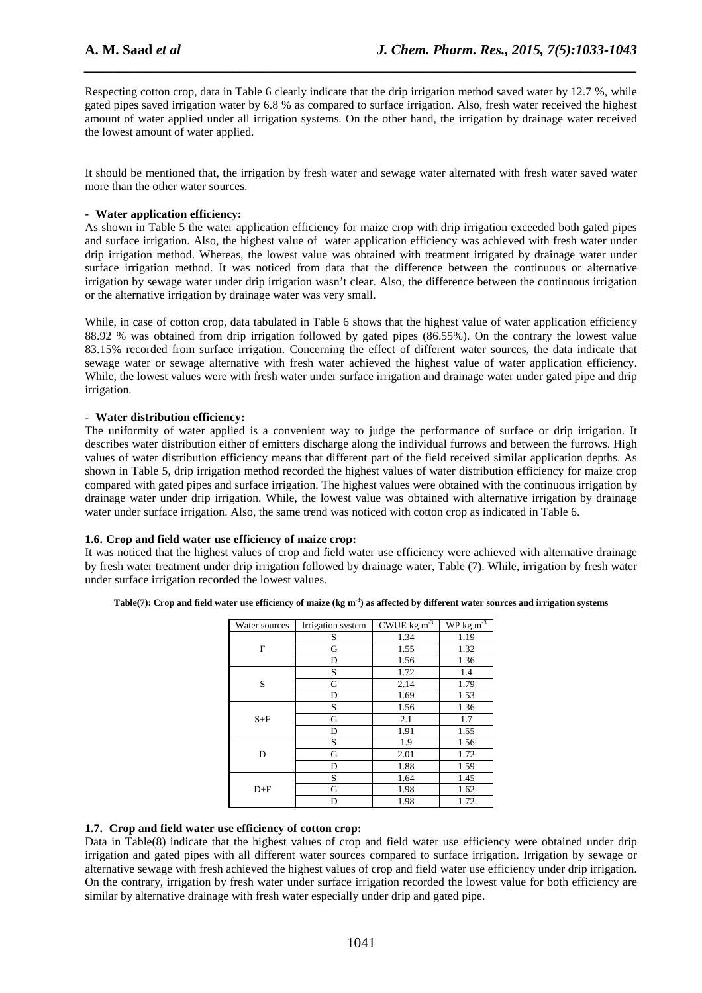Respecting cotton crop, data in Table 6 clearly indicate that the drip irrigation method saved water by 12.7 %, while gated pipes saved irrigation water by 6.8 % as compared to surface irrigation. Also, fresh water received the highest amount of water applied under all irrigation systems. On the other hand, the irrigation by drainage water received the lowest amount of water applied.

*\_\_\_\_\_\_\_\_\_\_\_\_\_\_\_\_\_\_\_\_\_\_\_\_\_\_\_\_\_\_\_\_\_\_\_\_\_\_\_\_\_\_\_\_\_\_\_\_\_\_\_\_\_\_\_\_\_\_\_\_\_\_\_\_\_\_\_\_\_\_\_\_\_\_\_\_\_\_*

It should be mentioned that, the irrigation by fresh water and sewage water alternated with fresh water saved water more than the other water sources.

## - **Water application efficiency:**

As shown in Table 5 the water application efficiency for maize crop with drip irrigation exceeded both gated pipes and surface irrigation. Also, the highest value of water application efficiency was achieved with fresh water under drip irrigation method. Whereas, the lowest value was obtained with treatment irrigated by drainage water under surface irrigation method. It was noticed from data that the difference between the continuous or alternative irrigation by sewage water under drip irrigation wasn't clear. Also, the difference between the continuous irrigation or the alternative irrigation by drainage water was very small.

While, in case of cotton crop, data tabulated in Table 6 shows that the highest value of water application efficiency 88.92 % was obtained from drip irrigation followed by gated pipes (86.55%). On the contrary the lowest value 83.15% recorded from surface irrigation. Concerning the effect of different water sources, the data indicate that sewage water or sewage alternative with fresh water achieved the highest value of water application efficiency. While, the lowest values were with fresh water under surface irrigation and drainage water under gated pipe and drip irrigation.

## - **Water distribution efficiency:**

The uniformity of water applied is a convenient way to judge the performance of surface or drip irrigation. It describes water distribution either of emitters discharge along the individual furrows and between the furrows. High values of water distribution efficiency means that different part of the field received similar application depths. As shown in Table 5, drip irrigation method recorded the highest values of water distribution efficiency for maize crop compared with gated pipes and surface irrigation. The highest values were obtained with the continuous irrigation by drainage water under drip irrigation. While, the lowest value was obtained with alternative irrigation by drainage water under surface irrigation. Also, the same trend was noticed with cotton crop as indicated in Table 6.

## **1.6. Crop and field water use efficiency of maize crop:**

It was noticed that the highest values of crop and field water use efficiency were achieved with alternative drainage by fresh water treatment under drip irrigation followed by drainage water, Table (7). While, irrigation by fresh water under surface irrigation recorded the lowest values.

| Water sources | Irrigation system | $CWUE$ kg m <sup>-3</sup> | $WP$ kg m <sup>-3</sup> |
|---------------|-------------------|---------------------------|-------------------------|
|               | S                 | 1.34                      | 1.19                    |
| F             | G                 | 1.55                      | 1.32                    |
|               | D                 | 1.56                      | 1.36                    |
|               | S                 | 1.72                      | 1.4                     |
| S             | G                 | 2.14                      | 1.79                    |
|               | D                 | 1.69                      | 1.53                    |
|               | S                 | 1.56                      | 1.36                    |
| $S + F$       | G                 | 2.1                       | 1.7                     |
|               | D                 | 1.91                      | 1.55                    |
|               | S                 | 1.9                       | 1.56                    |
| D             | G                 | 2.01                      | 1.72                    |
|               | D                 | 1.88                      | 1.59                    |
|               | S                 | 1.64                      | 1.45                    |
| $D + F$       | G                 | 1.98                      | 1.62                    |
|               | D                 | 1.98                      | 1.72                    |

**Table(7): Crop and field water use efficiency of maize (kg m-3) as affected by different water sources and irrigation systems** 

## **1.7. Crop and field water use efficiency of cotton crop:**

Data in Table(8) indicate that the highest values of crop and field water use efficiency were obtained under drip irrigation and gated pipes with all different water sources compared to surface irrigation. Irrigation by sewage or alternative sewage with fresh achieved the highest values of crop and field water use efficiency under drip irrigation. On the contrary, irrigation by fresh water under surface irrigation recorded the lowest value for both efficiency are similar by alternative drainage with fresh water especially under drip and gated pipe.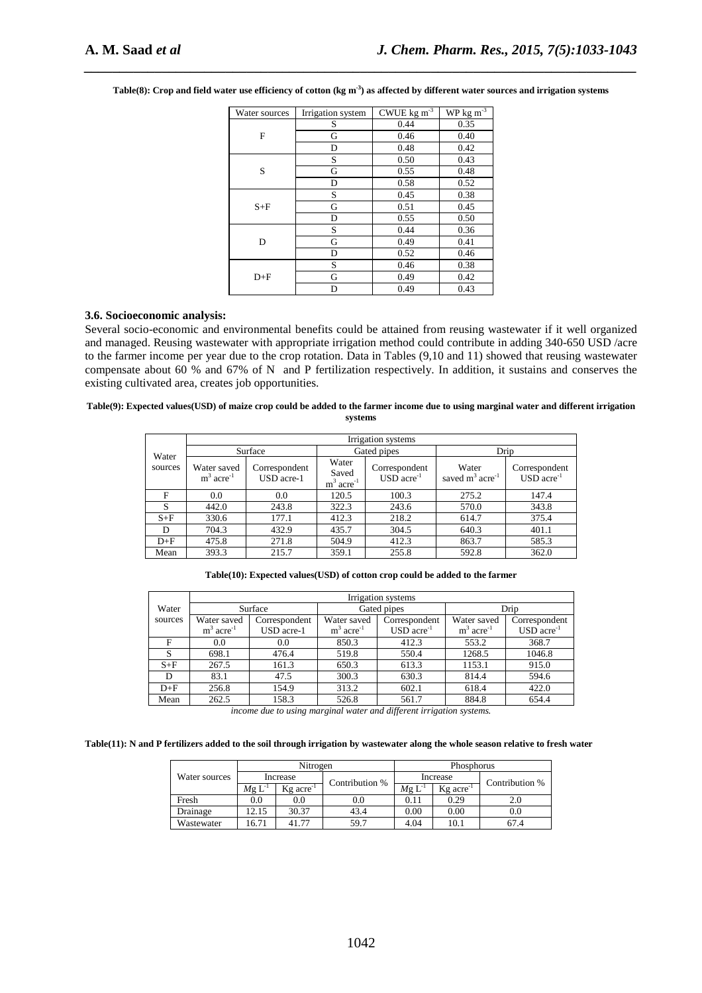| Water sources | Irrigation system | CWUE kg $\mathrm{m}^{-3}$ | $WP$ kg m <sup>-3</sup> |
|---------------|-------------------|---------------------------|-------------------------|
|               | S                 | 0.44                      | 0.35                    |
| F             | G                 | 0.46                      | 0.40                    |
|               | D                 | 0.48                      | 0.42                    |
|               | S                 | 0.50                      | 0.43                    |
| S             | G                 | 0.55                      | 0.48                    |
|               | D                 | 0.58                      | 0.52                    |
|               | S                 | 0.45                      | 0.38                    |
| $S + F$       | G                 | 0.51                      | 0.45                    |
|               | D                 | 0.55                      | 0.50                    |
|               | S                 | 0.44                      | 0.36                    |
| D             | G                 | 0.49                      | 0.41                    |
|               | D                 | 0.52                      | 0.46                    |
|               | S                 | 0.46                      | 0.38                    |
| $D+F$         | G                 | 0.49                      | 0.42                    |
|               | D                 | 0.49                      | 0.43                    |

**Table(8): Crop and field water use efficiency of cotton (kg m-3) as affected by different water sources and irrigation systems** 

*\_\_\_\_\_\_\_\_\_\_\_\_\_\_\_\_\_\_\_\_\_\_\_\_\_\_\_\_\_\_\_\_\_\_\_\_\_\_\_\_\_\_\_\_\_\_\_\_\_\_\_\_\_\_\_\_\_\_\_\_\_\_\_\_\_\_\_\_\_\_\_\_\_\_\_\_\_\_*

#### **3.6. Socioeconomic analysis:**

Several socio-economic and environmental benefits could be attained from reusing wastewater if it well organized and managed. Reusing wastewater with appropriate irrigation method could contribute in adding 340-650 USD /acre to the farmer income per year due to the crop rotation. Data in Tables (9,10 and 11) showed that reusing wastewater compensate about 60 % and 67% of N and P fertilization respectively. In addition, it sustains and conserves the existing cultivated area, creates job opportunities.

#### **Table(9): Expected values(USD) of maize crop could be added to the farmer income due to using marginal water and different irrigation systems**

|         |                                        |                             |                                            | Irrigation systems                 |                                         |                                 |
|---------|----------------------------------------|-----------------------------|--------------------------------------------|------------------------------------|-----------------------------------------|---------------------------------|
| Water   |                                        | Surface                     |                                            | Gated pipes                        | Drip                                    |                                 |
| sources | Water saved<br>$m3$ acre <sup>-1</sup> | Correspondent<br>USD acre-1 | Water<br>Saved<br>$m^3$ acre <sup>-1</sup> | Correspondent<br>$USD$ $acre^{-1}$ | Water<br>saved $m^3$ acre <sup>-1</sup> | Correspondent<br>$USD$ $acre-1$ |
| F       | 0.0                                    | 0.0                         | 120.5                                      | 100.3                              | 275.2                                   | 147.4                           |
| S       | 442.0                                  | 243.8                       | 322.3                                      | 243.6                              | 570.0                                   | 343.8                           |
| $S + F$ | 330.6                                  | 177.1                       | 412.3                                      | 218.2                              | 614.7                                   | 375.4                           |
| D       | 704.3                                  | 432.9                       | 435.7                                      | 304.5                              | 640.3                                   | 401.1                           |
| $D+F$   | 475.8                                  | 271.8                       | 504.9                                      | 412.3                              | 863.7                                   | 585.3                           |
| Mean    | 393.3                                  | 215.7                       | 359.1                                      | 255.8                              | 592.8                                   | 362.0                           |

**Table(10): Expected values(USD) of cotton crop could be added to the farmer** 

|         |                                         |                             |                                        | Irrigation systems                 |                                         |                                 |
|---------|-----------------------------------------|-----------------------------|----------------------------------------|------------------------------------|-----------------------------------------|---------------------------------|
| Water   |                                         | Surface                     |                                        | Gated pipes                        |                                         | Drip                            |
| sources | Water saved<br>$m^3$ acre <sup>-1</sup> | Correspondent<br>USD acre-1 | Water saved<br>$m3$ acre <sup>-1</sup> | Correspondent<br>$USD$ $acre^{-1}$ | Water saved<br>$m^3$ acre <sup>-1</sup> | Correspondent<br>$USD$ $acre-1$ |
| F       | 0.0                                     | 0.0                         | 850.3                                  | 412.3                              | 553.2                                   | 368.7                           |
| S       | 698.1                                   | 476.4                       | 519.8                                  | 550.4                              | 1268.5                                  | 1046.8                          |
| $S + F$ | 267.5                                   | 161.3                       | 650.3                                  | 613.3                              | 1153.1                                  | 915.0                           |
| D       | 83.1                                    | 47.5                        | 300.3                                  | 630.3                              | 814.4                                   | 594.6                           |
| $D+F$   | 256.8                                   | 154.9                       | 313.2                                  | 602.1                              | 618.4                                   | 422.0                           |
| Mean    | 262.5                                   | 158.3                       | 526.8                                  | 561.7                              | 884.8                                   | 654.4                           |

*income due to using marginal water and different irrigation systems.* 

**Table(11): N and P fertilizers added to the soil through irrigation by wastewater along the whole season relative to fresh water** 

|               |             | Nitrogen                |                |             | <b>Phosphorus</b>       |                |  |
|---------------|-------------|-------------------------|----------------|-------------|-------------------------|----------------|--|
| Water sources | Increase    |                         | Contribution % |             | Increase                | Contribution % |  |
|               | $Mg L^{-1}$ | $Kg$ acre <sup>-1</sup> |                | $Mg L^{-1}$ | $Kg$ acre <sup>-1</sup> |                |  |
| Fresh         | 0.0         | 0.0                     | 0.0            | 0.11        | 0.29                    | 2.0            |  |
| Drainage      | 12.15       | 30.37                   | 43.4           | 0.00        | 0.00                    | 0.0            |  |
| Wastewater    | 6.71        | 41.77                   | 59.7           | 4.04        | 10.1                    | 67.4           |  |